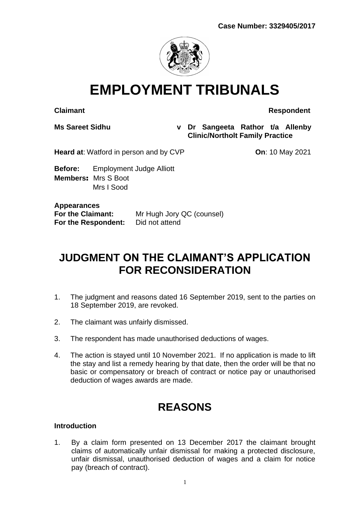

# **EMPLOYMENT TRIBUNALS**

**Claimant Respondent**

**Ms Sareet Sidhu v Dr Sangeeta Rathor t/a Allenby Clinic/Northolt Family Practice**

**Heard at:** Watford in person and by CVP **On**: 10 May 2021

**Before:** Employment Judge Alliott **Members**: Mrs S Boot Mrs I Sood

**Appearances For the Respondent:** 

**For the Claimant:** Mr Hugh Jory QC (counsel)<br>**For the Respondent:** Did not attend

# **JUDGMENT ON THE CLAIMANT'S APPLICATION FOR RECONSIDERATION**

- 1. The judgment and reasons dated 16 September 2019, sent to the parties on 18 September 2019, are revoked.
- 2. The claimant was unfairly dismissed.
- 3. The respondent has made unauthorised deductions of wages.
- 4. The action is stayed until 10 November 2021. If no application is made to lift the stay and list a remedy hearing by that date, then the order will be that no basic or compensatory or breach of contract or notice pay or unauthorised deduction of wages awards are made.

# **REASONS**

### **Introduction**

1. By a claim form presented on 13 December 2017 the claimant brought claims of automatically unfair dismissal for making a protected disclosure, unfair dismissal, unauthorised deduction of wages and a claim for notice pay (breach of contract).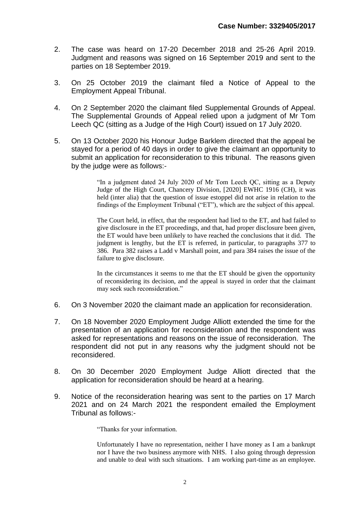- 2. The case was heard on 17-20 December 2018 and 25-26 April 2019. Judgment and reasons was signed on 16 September 2019 and sent to the parties on 18 September 2019.
- 3. On 25 October 2019 the claimant filed a Notice of Appeal to the Employment Appeal Tribunal.
- 4. On 2 September 2020 the claimant filed Supplemental Grounds of Appeal. The Supplemental Grounds of Appeal relied upon a judgment of Mr Tom Leech QC (sitting as a Judge of the High Court) issued on 17 July 2020.
- 5. On 13 October 2020 his Honour Judge Barklem directed that the appeal be stayed for a period of 40 days in order to give the claimant an opportunity to submit an application for reconsideration to this tribunal. The reasons given by the judge were as follows:-

"In a judgment dated 24 July 2020 of Mr Tom Leech QC, sitting as a Deputy Judge of the High Court, Chancery Division, [2020] EWHC 1916 (CH), it was held (inter alia) that the question of issue estoppel did not arise in relation to the findings of the Employment Tribunal ("ET"), which are the subject of this appeal.

The Court held, in effect, that the respondent had lied to the ET, and had failed to give disclosure in the ET proceedings, and that, had proper disclosure been given, the ET would have been unlikely to have reached the conclusions that it did. The judgment is lengthy, but the ET is referred, in particular, to paragraphs 377 to 386. Para 382 raises a Ladd v Marshall point, and para 384 raises the issue of the failure to give disclosure.

In the circumstances it seems to me that the ET should be given the opportunity of reconsidering its decision, and the appeal is stayed in order that the claimant may seek such reconsideration."

- 6. On 3 November 2020 the claimant made an application for reconsideration.
- 7. On 18 November 2020 Employment Judge Alliott extended the time for the presentation of an application for reconsideration and the respondent was asked for representations and reasons on the issue of reconsideration. The respondent did not put in any reasons why the judgment should not be reconsidered.
- 8. On 30 December 2020 Employment Judge Alliott directed that the application for reconsideration should be heard at a hearing.
- 9. Notice of the reconsideration hearing was sent to the parties on 17 March 2021 and on 24 March 2021 the respondent emailed the Employment Tribunal as follows:-

"Thanks for your information.

Unfortunately I have no representation, neither I have money as I am a bankrupt nor I have the two business anymore with NHS. I also going through depression and unable to deal with such situations. I am working part-time as an employee.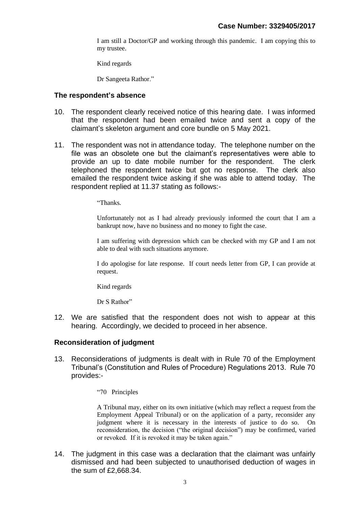I am still a Doctor/GP and working through this pandemic. I am copying this to my trustee.

Kind regards

Dr Sangeeta Rathor."

#### **The respondent's absence**

- 10. The respondent clearly received notice of this hearing date. I was informed that the respondent had been emailed twice and sent a copy of the claimant's skeleton argument and core bundle on 5 May 2021.
- 11. The respondent was not in attendance today. The telephone number on the file was an obsolete one but the claimant's representatives were able to provide an up to date mobile number for the respondent. The clerk telephoned the respondent twice but got no response. The clerk also emailed the respondent twice asking if she was able to attend today. The respondent replied at 11.37 stating as follows:-

"Thanks.

Unfortunately not as I had already previously informed the court that I am a bankrupt now, have no business and no money to fight the case.

I am suffering with depression which can be checked with my GP and I am not able to deal with such situations anymore.

I do apologise for late response. If court needs letter from GP, I can provide at request.

Kind regards

Dr S Rathor"

12. We are satisfied that the respondent does not wish to appear at this hearing. Accordingly, we decided to proceed in her absence.

#### **Reconsideration of judgment**

- 13. Reconsiderations of judgments is dealt with in Rule 70 of the Employment Tribunal's (Constitution and Rules of Procedure) Regulations 2013. Rule 70 provides:-
	- "70 Principles

A Tribunal may, either on its own initiative (which may reflect a request from the Employment Appeal Tribunal) or on the application of a party, reconsider any judgment where it is necessary in the interests of justice to do so. On reconsideration, the decision ("the original decision") may be confirmed, varied or revoked. If it is revoked it may be taken again."

14. The judgment in this case was a declaration that the claimant was unfairly dismissed and had been subjected to unauthorised deduction of wages in the sum of £2,668.34.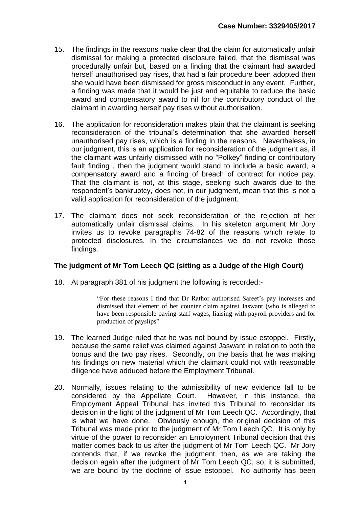- 15. The findings in the reasons make clear that the claim for automatically unfair dismissal for making a protected disclosure failed, that the dismissal was procedurally unfair but, based on a finding that the claimant had awarded herself unauthorised pay rises, that had a fair procedure been adopted then she would have been dismissed for gross misconduct in any event. Further, a finding was made that it would be just and equitable to reduce the basic award and compensatory award to nil for the contributory conduct of the claimant in awarding herself pay rises without authorisation.
- 16. The application for reconsideration makes plain that the claimant is seeking reconsideration of the tribunal's determination that she awarded herself unauthorised pay rises, which is a finding in the reasons. Nevertheless, in our judgment, this is an application for reconsideration of the judgment as, if the claimant was unfairly dismissed with no "Polkey" finding or contributory fault finding , then the judgment would stand to include a basic award, a compensatory award and a finding of breach of contract for notice pay. That the claimant is not, at this stage, seeking such awards due to the respondent's bankruptcy, does not, in our judgment, mean that this is not a valid application for reconsideration of the judgment.
- 17. The claimant does not seek reconsideration of the rejection of her automatically unfair dismissal claims. In his skeleton argument Mr Jory invites us to revoke paragraphs 74-82 of the reasons which relate to protected disclosures. In the circumstances we do not revoke those findings.

### **The judgment of Mr Tom Leech QC (sitting as a Judge of the High Court)**

18. At paragraph 381 of his judgment the following is recorded:-

"For these reasons I find that Dr Rathor authorised Sareet's pay increases and dismissed that element of her counter claim against Jaswant (who is alleged to have been responsible paying staff wages, liaising with payroll providers and for production of payslips"

- 19. The learned Judge ruled that he was not bound by issue estoppel. Firstly, because the same relief was claimed against Jaswant in relation to both the bonus and the two pay rises. Secondly, on the basis that he was making his findings on new material which the claimant could not with reasonable diligence have adduced before the Employment Tribunal.
- 20. Normally, issues relating to the admissibility of new evidence fall to be considered by the Appellate Court. However, in this instance, the Employment Appeal Tribunal has invited this Tribunal to reconsider its decision in the light of the judgment of Mr Tom Leech QC. Accordingly, that is what we have done. Obviously enough, the original decision of this Tribunal was made prior to the judgment of Mr Tom Leech QC. It is only by virtue of the power to reconsider an Employment Tribunal decision that this matter comes back to us after the judgment of Mr Tom Leech QC. Mr Jory contends that, if we revoke the judgment, then, as we are taking the decision again after the judgment of Mr Tom Leech QC, so, it is submitted, we are bound by the doctrine of issue estoppel. No authority has been